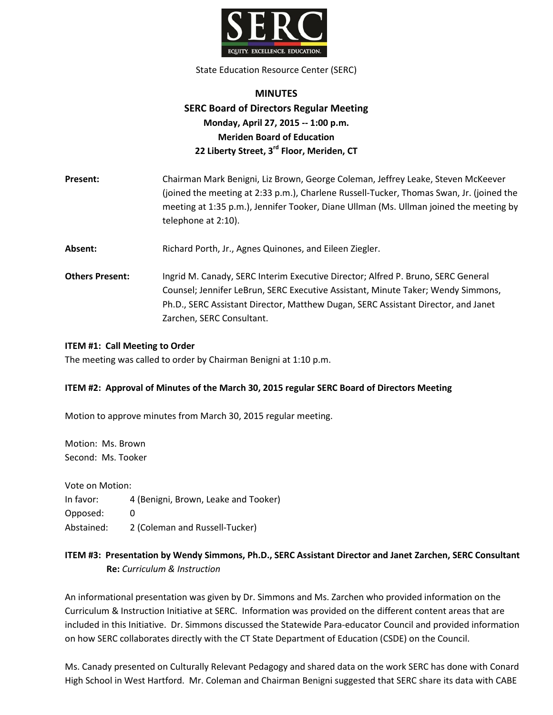

State Education Resource Center (SERC)

# **MINUTES SERC Board of Directors Regular Meeting Monday, April 27, 2015 -- 1:00 p.m. Meriden Board of Education 22 Liberty Street, 3rd Floor, Meriden, CT**

**Present:** Chairman Mark Benigni, Liz Brown, George Coleman, Jeffrey Leake, Steven McKeever (joined the meeting at 2:33 p.m.), Charlene Russell-Tucker, Thomas Swan, Jr. (joined the meeting at 1:35 p.m.), Jennifer Tooker, Diane Ullman (Ms. Ullman joined the meeting by telephone at 2:10).

Absent: Richard Porth, Jr., Agnes Quinones, and Eileen Ziegler.

**Others Present:** Ingrid M. Canady, SERC Interim Executive Director; Alfred P. Bruno, SERC General Counsel; Jennifer LeBrun, SERC Executive Assistant, Minute Taker; Wendy Simmons, Ph.D., SERC Assistant Director, Matthew Dugan, SERC Assistant Director, and Janet Zarchen, SERC Consultant.

#### **ITEM #1: Call Meeting to Order**

The meeting was called to order by Chairman Benigni at 1:10 p.m.

#### **ITEM #2: Approval of Minutes of the March 30, 2015 regular SERC Board of Directors Meeting**

Motion to approve minutes from March 30, 2015 regular meeting.

Motion: Ms. Brown Second: Ms. Tooker

Vote on Motion:

In favor: 4 (Benigni, Brown, Leake and Tooker)

Opposed: 0

Abstained: 2 (Coleman and Russell-Tucker)

# **ITEM #3: Presentation by Wendy Simmons, Ph.D., SERC Assistant Director and Janet Zarchen, SERC Consultant Re:** *Curriculum & Instruction*

An informational presentation was given by Dr. Simmons and Ms. Zarchen who provided information on the Curriculum & Instruction Initiative at SERC. Information was provided on the different content areas that are included in this Initiative. Dr. Simmons discussed the Statewide Para-educator Council and provided information on how SERC collaborates directly with the CT State Department of Education (CSDE) on the Council.

Ms. Canady presented on Culturally Relevant Pedagogy and shared data on the work SERC has done with Conard High School in West Hartford. Mr. Coleman and Chairman Benigni suggested that SERC share its data with CABE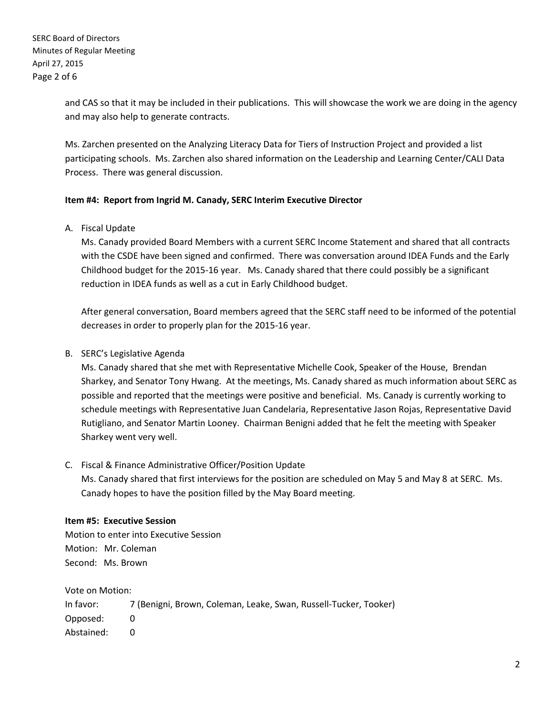and CAS so that it may be included in their publications. This will showcase the work we are doing in the agency and may also help to generate contracts.

Ms. Zarchen presented on the Analyzing Literacy Data for Tiers of Instruction Project and provided a list participating schools. Ms. Zarchen also shared information on the Leadership and Learning Center/CALI Data Process. There was general discussion.

### **Item #4: Report from Ingrid M. Canady, SERC Interim Executive Director**

A. Fiscal Update

Ms. Canady provided Board Members with a current SERC Income Statement and shared that all contracts with the CSDE have been signed and confirmed. There was conversation around IDEA Funds and the Early Childhood budget for the 2015-16 year. Ms. Canady shared that there could possibly be a significant reduction in IDEA funds as well as a cut in Early Childhood budget.

After general conversation, Board members agreed that the SERC staff need to be informed of the potential decreases in order to properly plan for the 2015-16 year.

## B. SERC's Legislative Agenda

Ms. Canady shared that she met with Representative Michelle Cook, Speaker of the House, Brendan Sharkey, and Senator Tony Hwang. At the meetings, Ms. Canady shared as much information about SERC as possible and reported that the meetings were positive and beneficial. Ms. Canady is currently working to schedule meetings with Representative Juan Candelaria, Representative Jason Rojas, Representative David Rutigliano, and Senator Martin Looney. Chairman Benigni added that he felt the meeting with Speaker Sharkey went very well.

#### C. Fiscal & Finance Administrative Officer/Position Update

Ms. Canady shared that first interviews for the position are scheduled on May 5 and May 8 at SERC. Ms. Canady hopes to have the position filled by the May Board meeting.

#### **Item #5: Executive Session**

Motion to enter into Executive Session Motion: Mr. Coleman Second: Ms. Brown

Vote on Motion:

In favor: 7 (Benigni, Brown, Coleman, Leake, Swan, Russell-Tucker, Tooker) Opposed: 0 Abstained: 0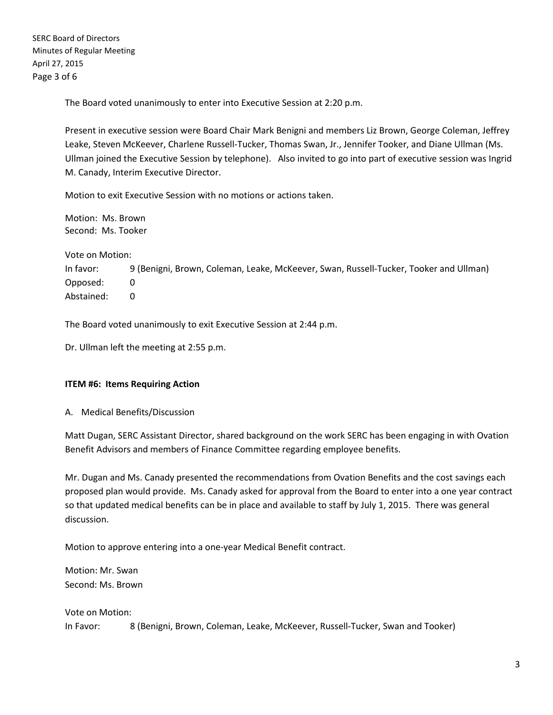The Board voted unanimously to enter into Executive Session at 2:20 p.m.

Present in executive session were Board Chair Mark Benigni and members Liz Brown, George Coleman, Jeffrey Leake, Steven McKeever, Charlene Russell-Tucker, Thomas Swan, Jr., Jennifer Tooker, and Diane Ullman (Ms. Ullman joined the Executive Session by telephone). Also invited to go into part of executive session was Ingrid M. Canady, Interim Executive Director.

Motion to exit Executive Session with no motions or actions taken.

Motion: Ms. Brown Second: Ms. Tooker

Vote on Motion:

In favor: 9 (Benigni, Brown, Coleman, Leake, McKeever, Swan, Russell-Tucker, Tooker and Ullman) Opposed: 0 Abstained: 0

The Board voted unanimously to exit Executive Session at 2:44 p.m.

Dr. Ullman left the meeting at 2:55 p.m.

# **ITEM #6: Items Requiring Action**

A. Medical Benefits/Discussion

Matt Dugan, SERC Assistant Director, shared background on the work SERC has been engaging in with Ovation Benefit Advisors and members of Finance Committee regarding employee benefits.

Mr. Dugan and Ms. Canady presented the recommendations from Ovation Benefits and the cost savings each proposed plan would provide. Ms. Canady asked for approval from the Board to enter into a one year contract so that updated medical benefits can be in place and available to staff by July 1, 2015. There was general discussion.

Motion to approve entering into a one-year Medical Benefit contract.

Motion: Mr. Swan Second: Ms. Brown

Vote on Motion: In Favor: 8 (Benigni, Brown, Coleman, Leake, McKeever, Russell-Tucker, Swan and Tooker)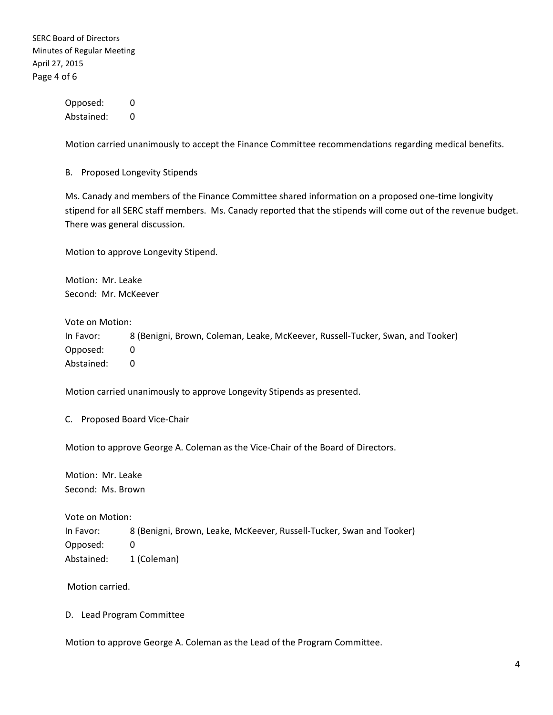SERC Board of Directors Minutes of Regular Meeting April 27, 2015 Page 4 of 6

> Opposed: 0 Abstained: 0

Motion carried unanimously to accept the Finance Committee recommendations regarding medical benefits.

B. Proposed Longevity Stipends

Ms. Canady and members of the Finance Committee shared information on a proposed one-time longivity stipend for all SERC staff members. Ms. Canady reported that the stipends will come out of the revenue budget. There was general discussion.

Motion to approve Longevity Stipend.

Motion: Mr. Leake Second: Mr. McKeever

Vote on Motion:

In Favor: 8 (Benigni, Brown, Coleman, Leake, McKeever, Russell-Tucker, Swan, and Tooker) Opposed: 0 Abstained: 0

Motion carried unanimously to approve Longevity Stipends as presented.

C. Proposed Board Vice-Chair

Motion to approve George A. Coleman as the Vice-Chair of the Board of Directors.

Motion: Mr. Leake Second: Ms. Brown

Vote on Motion:

In Favor: 8 (Benigni, Brown, Leake, McKeever, Russell-Tucker, Swan and Tooker) Opposed: 0 Abstained: 1 (Coleman)

Motion carried.

D. Lead Program Committee

Motion to approve George A. Coleman as the Lead of the Program Committee.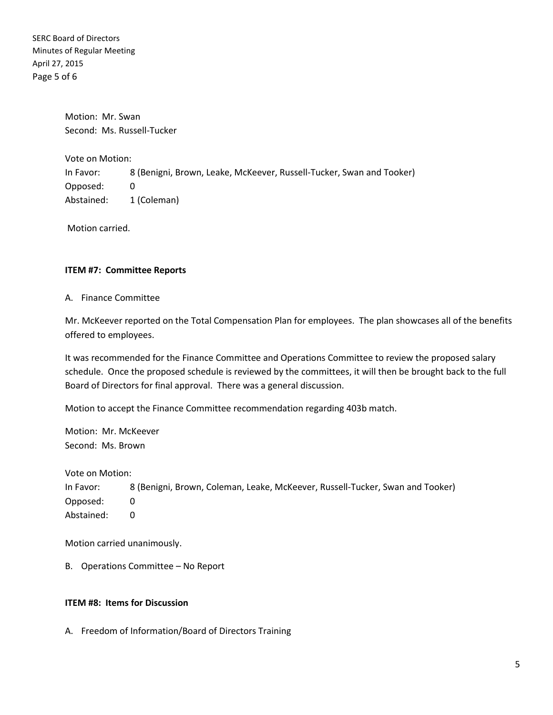SERC Board of Directors Minutes of Regular Meeting April 27, 2015 Page 5 of 6

> Motion: Mr. Swan Second: Ms. Russell-Tucker

Vote on Motion: In Favor: 8 (Benigni, Brown, Leake, McKeever, Russell-Tucker, Swan and Tooker) Opposed: 0 Abstained: 1 (Coleman)

Motion carried.

#### **ITEM #7: Committee Reports**

A. Finance Committee

Mr. McKeever reported on the Total Compensation Plan for employees. The plan showcases all of the benefits offered to employees.

It was recommended for the Finance Committee and Operations Committee to review the proposed salary schedule. Once the proposed schedule is reviewed by the committees, it will then be brought back to the full Board of Directors for final approval. There was a general discussion.

Motion to accept the Finance Committee recommendation regarding 403b match.

Motion: Mr. McKeever Second: Ms. Brown

Vote on Motion:

In Favor: 8 (Benigni, Brown, Coleman, Leake, McKeever, Russell-Tucker, Swan and Tooker) Opposed: 0 Abstained: 0

Motion carried unanimously.

B. Operations Committee – No Report

#### **ITEM #8: Items for Discussion**

A. Freedom of Information/Board of Directors Training